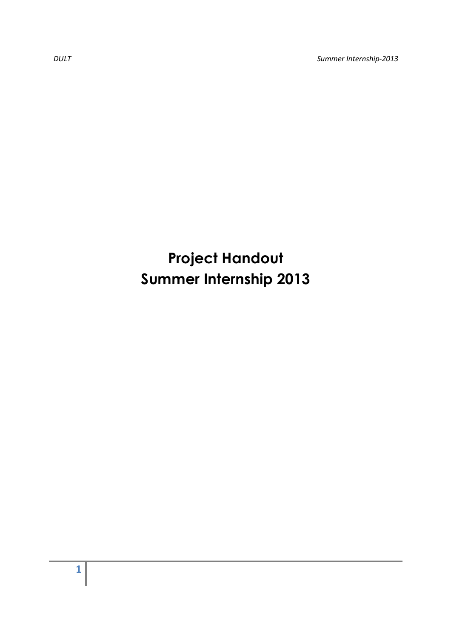*DULT Summer Internship-2013* 

## **Project Handout Summer Internship 2013**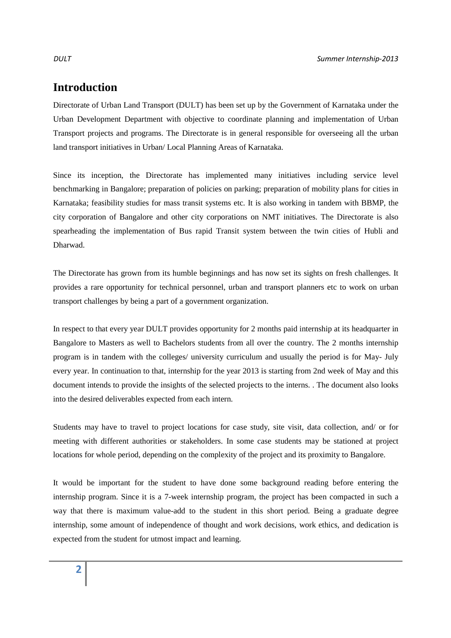## **Introduction**

Directorate of Urban Land Transport (DULT) has been set up by the Government of Karnataka under the Urban Development Department with objective to coordinate planning and implementation of Urban Transport projects and programs. The Directorate is in general responsible for overseeing all the urban land transport initiatives in Urban/ Local Planning Areas of Karnataka.

Since its inception, the Directorate has implemented many initiatives including service level benchmarking in Bangalore; preparation of policies on parking; preparation of mobility plans for cities in Karnataka; feasibility studies for mass transit systems etc. It is also working in tandem with BBMP, the city corporation of Bangalore and other city corporations on NMT initiatives. The Directorate is also spearheading the implementation of Bus rapid Transit system between the twin cities of Hubli and Dharwad.

The Directorate has grown from its humble beginnings and has now set its sights on fresh challenges. It provides a rare opportunity for technical personnel, urban and transport planners etc to work on urban transport challenges by being a part of a government organization.

In respect to that every year DULT provides opportunity for 2 months paid internship at its headquarter in Bangalore to Masters as well to Bachelors students from all over the country. The 2 months internship program is in tandem with the colleges/ university curriculum and usually the period is for May- July every year. In continuation to that, internship for the year 2013 is starting from 2nd week of May and this document intends to provide the insights of the selected projects to the interns. . The document also looks into the desired deliverables expected from each intern.

Students may have to travel to project locations for case study, site visit, data collection, and/ or for meeting with different authorities or stakeholders. In some case students may be stationed at project locations for whole period, depending on the complexity of the project and its proximity to Bangalore.

It would be important for the student to have done some background reading before entering the internship program. Since it is a 7-week internship program, the project has been compacted in such a way that there is maximum value-add to the student in this short period. Being a graduate degree internship, some amount of independence of thought and work decisions, work ethics, and dedication is expected from the student for utmost impact and learning.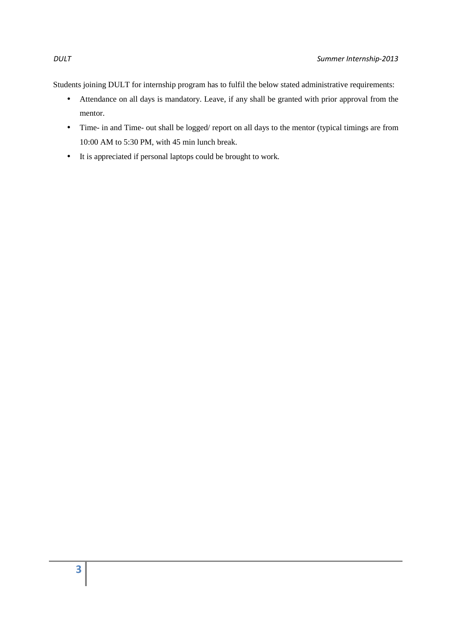Students joining DULT for internship program has to fulfil the below stated administrative requirements:

- Attendance on all days is mandatory. Leave, if any shall be granted with prior approval from the mentor.
- Time- in and Time- out shall be logged/ report on all days to the mentor (typical timings are from 10:00 AM to 5:30 PM, with 45 min lunch break.
- It is appreciated if personal laptops could be brought to work.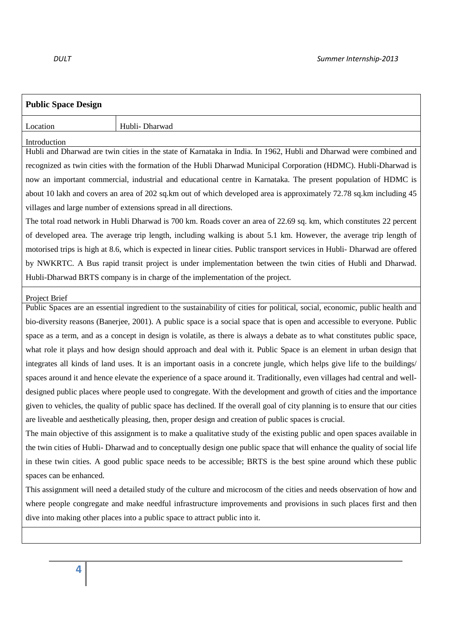| <b>Public Space Design</b>                                                                                                     |                                                                                                                              |  |
|--------------------------------------------------------------------------------------------------------------------------------|------------------------------------------------------------------------------------------------------------------------------|--|
| Location                                                                                                                       | Hubli- Dharwad                                                                                                               |  |
| Introduction                                                                                                                   |                                                                                                                              |  |
|                                                                                                                                | Hubli and Dharwad are twin cities in the state of Karnataka in India. In 1962, Hubli and Dharwad were combined and           |  |
| recognized as twin cities with the formation of the Hubli Dharwad Municipal Corporation (HDMC). Hubli-Dharwad is               |                                                                                                                              |  |
| now an important commercial, industrial and educational centre in Karnataka. The present population of HDMC is                 |                                                                                                                              |  |
| about 10 lakh and covers an area of 202 sq.km out of which developed area is approximately 72.78 sq.km including 45            |                                                                                                                              |  |
|                                                                                                                                | villages and large number of extensions spread in all directions.                                                            |  |
|                                                                                                                                | The total road network in Hubli Dharwad is 700 km. Roads cover an area of 22.69 sq. km, which constitutes 22 percent         |  |
| of developed area. The average trip length, including walking is about 5.1 km. However, the average trip length of             |                                                                                                                              |  |
|                                                                                                                                | motorised trips is high at 8.6, which is expected in linear cities. Public transport services in Hubli- Dharwad are offered  |  |
| by NWKRTC. A Bus rapid transit project is under implementation between the twin cities of Hubli and Dharwad.                   |                                                                                                                              |  |
|                                                                                                                                | Hubli-Dharwad BRTS company is in charge of the implementation of the project.                                                |  |
| Project Brief                                                                                                                  |                                                                                                                              |  |
|                                                                                                                                | Public Spaces are an essential ingredient to the sustainability of cities for political, social, economic, public health and |  |
| bio-diversity reasons (Banerjee, 2001). A public space is a social space that is open and accessible to everyone. Public       |                                                                                                                              |  |
| space as a term, and as a concept in design is volatile, as there is always a debate as to what constitutes public space,      |                                                                                                                              |  |
| what role it plays and how design should approach and deal with it. Public Space is an element in urban design that            |                                                                                                                              |  |
| integrates all kinds of land uses. It is an important oasis in a concrete jungle, which helps give life to the buildings/      |                                                                                                                              |  |
| spaces around it and hence elevate the experience of a space around it. Traditionally, even villages had central and well-     |                                                                                                                              |  |
| designed public places where people used to congregate. With the development and growth of cities and the importance           |                                                                                                                              |  |
| given to vehicles, the quality of public space has declined. If the overall goal of city planning is to ensure that our cities |                                                                                                                              |  |
| are liveable and aesthetically pleasing, then, proper design and creation of public spaces is crucial.                         |                                                                                                                              |  |
| The main objective of this assignment is to make a qualitative study of the existing public and open spaces available in       |                                                                                                                              |  |
| the twin cities of Hubli-Dharwad and to conceptually design one public space that will enhance the quality of social life      |                                                                                                                              |  |
| in these twin cities. A good public space needs to be accessible; BRTS is the best spine around which these public             |                                                                                                                              |  |
| spaces can be enhanced.                                                                                                        |                                                                                                                              |  |
| This assignment will need a detailed study of the culture and microcosm of the cities and needs observation of how and         |                                                                                                                              |  |
| where people congregate and make needful infrastructure improvements and provisions in such places first and then              |                                                                                                                              |  |
| dive into making other places into a public space to attract public into it.                                                   |                                                                                                                              |  |
|                                                                                                                                |                                                                                                                              |  |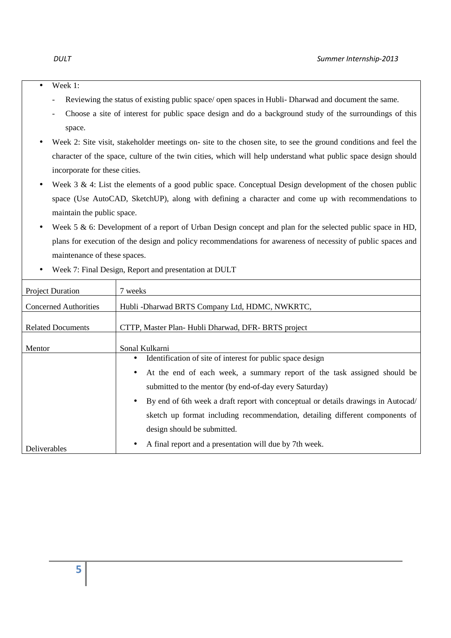- 
- Week 1:
	- Reviewing the status of existing public space/ open spaces in Hubli- Dharwad and document the same.
	- Choose a site of interest for public space design and do a background study of the surroundings of this space.
- Week 2: Site visit, stakeholder meetings on- site to the chosen site, to see the ground conditions and feel the character of the space, culture of the twin cities, which will help understand what public space design should incorporate for these cities.
- Week  $3 \& 4$ : List the elements of a good public space. Conceptual Design development of the chosen public space (Use AutoCAD, SketchUP), along with defining a character and come up with recommendations to maintain the public space.
- Week 5 & 6: Development of a report of Urban Design concept and plan for the selected public space in HD, plans for execution of the design and policy recommendations for awareness of necessity of public spaces and maintenance of these spaces.

| <b>Project Duration</b>      | 7 weeks                                                                           |  |
|------------------------------|-----------------------------------------------------------------------------------|--|
| <b>Concerned Authorities</b> | Hubli-Dharwad BRTS Company Ltd, HDMC, NWKRTC,                                     |  |
| <b>Related Documents</b>     | CTTP, Master Plan-Hubli Dharwad, DFR-BRTS project                                 |  |
| Mentor                       | Sonal Kulkarni                                                                    |  |
|                              | Identification of site of interest for public space design<br>$\bullet$           |  |
|                              | • At the end of each week, a summary report of the task assigned should be        |  |
|                              | submitted to the mentor (by end-of-day every Saturday)                            |  |
|                              | By end of 6th week a draft report with conceptual or details drawings in Autocad/ |  |
|                              | sketch up format including recommendation, detailing different components of      |  |
|                              | design should be submitted.                                                       |  |
| Deliverables                 | A final report and a presentation will due by 7th week.<br>$\bullet$              |  |

• Week 7: Final Design, Report and presentation at DULT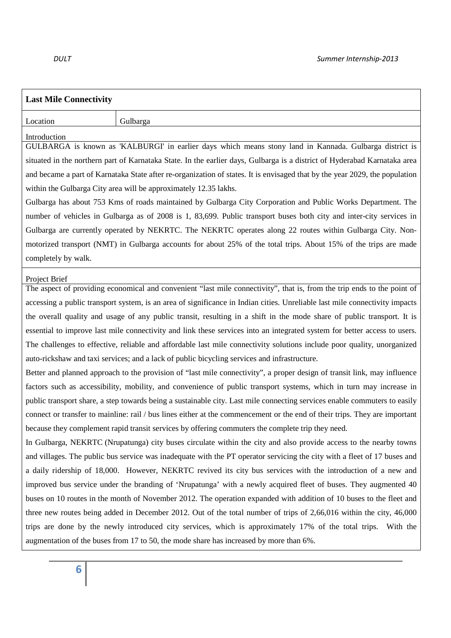| <b>Last Mile Connectivity</b>                                                                                              |                                                                                                                             |  |  |
|----------------------------------------------------------------------------------------------------------------------------|-----------------------------------------------------------------------------------------------------------------------------|--|--|
| Location                                                                                                                   | Gulbarga                                                                                                                    |  |  |
| Introduction                                                                                                               |                                                                                                                             |  |  |
|                                                                                                                            | GULBARGA is known as 'KALBURGI' in earlier days which means stony land in Kannada. Gulbarga district is                     |  |  |
|                                                                                                                            | situated in the northern part of Karnataka State. In the earlier days, Gulbarga is a district of Hyderabad Karnataka area   |  |  |
|                                                                                                                            | and became a part of Karnataka State after re-organization of states. It is envisaged that by the year 2029, the population |  |  |
|                                                                                                                            | within the Gulbarga City area will be approximately 12.35 lakhs.                                                            |  |  |
|                                                                                                                            | Gulbarga has about 753 Kms of roads maintained by Gulbarga City Corporation and Public Works Department. The                |  |  |
|                                                                                                                            | number of vehicles in Gulbarga as of 2008 is 1, 83,699. Public transport buses both city and inter-city services in         |  |  |
|                                                                                                                            | Gulbarga are currently operated by NEKRTC. The NEKRTC operates along 22 routes within Gulbarga City. Non-                   |  |  |
|                                                                                                                            | motorized transport (NMT) in Gulbarga accounts for about 25% of the total trips. About 15% of the trips are made            |  |  |
| completely by walk.                                                                                                        |                                                                                                                             |  |  |
| Project Brief                                                                                                              |                                                                                                                             |  |  |
|                                                                                                                            | The aspect of providing economical and convenient "last mile connectivity", that is, from the trip ends to the point of     |  |  |
|                                                                                                                            | accessing a public transport system, is an area of significance in Indian cities. Unreliable last mile connectivity impacts |  |  |
|                                                                                                                            | the overall quality and usage of any public transit, resulting in a shift in the mode share of public transport. It is      |  |  |
| essential to improve last mile connectivity and link these services into an integrated system for better access to users.  |                                                                                                                             |  |  |
| The challenges to effective, reliable and affordable last mile connectivity solutions include poor quality, unorganized    |                                                                                                                             |  |  |
|                                                                                                                            | auto-rickshaw and taxi services; and a lack of public bicycling services and infrastructure.                                |  |  |
|                                                                                                                            | Better and planned approach to the provision of "last mile connectivity", a proper design of transit link, may influence    |  |  |
| factors such as accessibility, mobility, and convenience of public transport systems, which in turn may increase in        |                                                                                                                             |  |  |
|                                                                                                                            | public transport share, a step towards being a sustainable city. Last mile connecting services enable commuters to easily   |  |  |
| connect or transfer to mainline: rail / bus lines either at the commencement or the end of their trips. They are important |                                                                                                                             |  |  |
| because they complement rapid transit services by offering commuters the complete trip they need.                          |                                                                                                                             |  |  |
| In Gulbarga, NEKRTC (Nrupatunga) city buses circulate within the city and also provide access to the nearby towns          |                                                                                                                             |  |  |
| and villages. The public bus service was inadequate with the PT operator servicing the city with a fleet of 17 buses and   |                                                                                                                             |  |  |
| a daily ridership of 18,000. However, NEKRTC revived its city bus services with the introduction of a new and              |                                                                                                                             |  |  |
| improved bus service under the branding of 'Nrupatunga' with a newly acquired fleet of buses. They augmented 40            |                                                                                                                             |  |  |
| buses on 10 routes in the month of November 2012. The operation expanded with addition of 10 buses to the fleet and        |                                                                                                                             |  |  |
|                                                                                                                            | three new routes being added in December 2012. Out of the total number of trips of 2,66,016 within the city, 46,000         |  |  |
|                                                                                                                            | trips are done by the newly introduced city services, which is approximately 17% of the total trips. With the               |  |  |
| augmentation of the buses from 17 to 50, the mode share has increased by more than 6%.                                     |                                                                                                                             |  |  |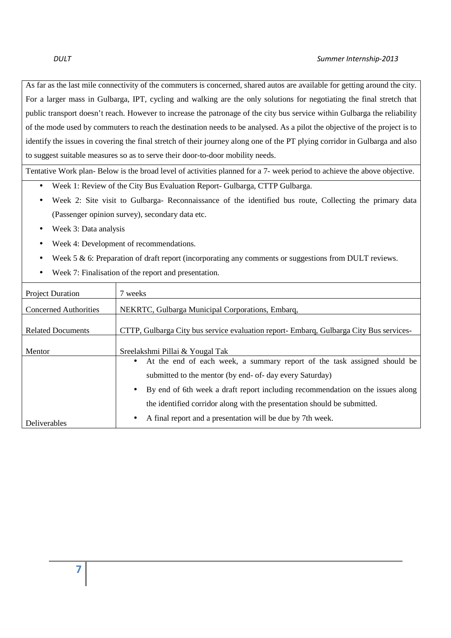As far as the last mile connectivity of the commuters is concerned, shared autos are available for getting around the city. For a larger mass in Gulbarga, IPT, cycling and walking are the only solutions for negotiating the final stretch that public transport doesn't reach. However to increase the patronage of the city bus service within Gulbarga the reliability of the mode used by commuters to reach the destination needs to be analysed. As a pilot the objective of the project is to identify the issues in covering the final stretch of their journey along one of the PT plying corridor in Gulbarga and also to suggest suitable measures so as to serve their door-to-door mobility needs.

Tentative Work plan- Below is the broad level of activities planned for a 7- week period to achieve the above objective.

- Week 1: Review of the City Bus Evaluation Report- Gulbarga, CTTP Gulbarga.
- Week 2: Site visit to Gulbarga- Reconnaissance of the identified bus route, Collecting the primary data (Passenger opinion survey), secondary data etc.
- Week 3: Data analysis
- Week 4: Development of recommendations.
- Week 5 & 6: Preparation of draft report (incorporating any comments or suggestions from DULT reviews.
- Week 7: Finalisation of the report and presentation.

| <b>Project Duration</b>      | 7 weeks                                                                                |
|------------------------------|----------------------------------------------------------------------------------------|
| <b>Concerned Authorities</b> | NEKRTC, Gulbarga Municipal Corporations, Embarq,                                       |
| <b>Related Documents</b>     | CTTP, Gulbarga City bus service evaluation report- Embarg, Gulbarga City Bus services- |
| Mentor                       | Sreelakshmi Pillai & Yougal Tak                                                        |
|                              | At the end of each week, a summary report of the task assigned should be               |
|                              | submitted to the mentor (by end- of- day every Saturday)                               |
|                              | By end of 6th week a draft report including recommendation on the issues along         |
|                              | the identified corridor along with the presentation should be submitted.               |
| <b>Deliverables</b>          | A final report and a presentation will be due by 7th week.<br>$\bullet$                |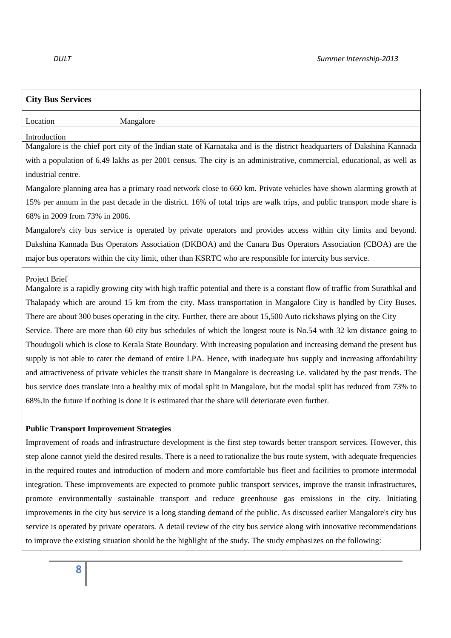|                                                                                                                             | Mangalore                                                                                                                  |  |
|-----------------------------------------------------------------------------------------------------------------------------|----------------------------------------------------------------------------------------------------------------------------|--|
| Introduction                                                                                                                |                                                                                                                            |  |
|                                                                                                                             | Mangalore is the chief port city of the Indian state of Karnataka and is the district headquarters of Dakshina Kannada     |  |
|                                                                                                                             | with a population of 6.49 lakhs as per 2001 census. The city is an administrative, commercial, educational, as well as     |  |
| industrial centre.                                                                                                          |                                                                                                                            |  |
|                                                                                                                             | Mangalore planning area has a primary road network close to 660 km. Private vehicles have shown alarming growth at         |  |
|                                                                                                                             | 15% per annum in the past decade in the district. 16% of total trips are walk trips, and public transport mode share is    |  |
| 68% in 2009 from 73% in 2006.                                                                                               |                                                                                                                            |  |
|                                                                                                                             | Mangalore's city bus service is operated by private operators and provides access within city limits and beyond.           |  |
| Dakshina Kannada Bus Operators Association (DKBOA) and the Canara Bus Operators Association (CBOA) are the                  |                                                                                                                            |  |
|                                                                                                                             | major bus operators within the city limit, other than KSRTC who are responsible for intercity bus service.                 |  |
| Project Brief                                                                                                               |                                                                                                                            |  |
|                                                                                                                             | Mangalore is a rapidly growing city with high traffic potential and there is a constant flow of traffic from Surathkal and |  |
|                                                                                                                             | Thalapady which are around 15 km from the city. Mass transportation in Mangalore City is handled by City Buses.            |  |
|                                                                                                                             | There are about 300 buses operating in the city. Further, there are about 15,500 Auto rickshaws plying on the City         |  |
|                                                                                                                             | Service. There are more than 60 city bus schedules of which the longest route is No.54 with 32 km distance going to        |  |
|                                                                                                                             | Thoudugoli which is close to Kerala State Boundary. With increasing population and increasing demand the present bus       |  |
|                                                                                                                             | supply is not able to cater the demand of entire LPA. Hence, with inadequate bus supply and increasing affordability       |  |
|                                                                                                                             | and attractiveness of private vehicles the transit share in Mangalore is decreasing i.e. validated by the past trends. The |  |
| bus service does translate into a healthy mix of modal split in Mangalore, but the modal split has reduced from 73% to      |                                                                                                                            |  |
|                                                                                                                             | 68%. In the future if nothing is done it is estimated that the share will deteriorate even further.                        |  |
| <b>Public Transport Improvement Strategies</b>                                                                              |                                                                                                                            |  |
|                                                                                                                             | Improvement of roads and infrastructure development is the first step towards better transport services. However, this     |  |
| step alone cannot yield the desired results. There is a need to rationalize the bus route system, with adequate frequencies |                                                                                                                            |  |
| in the required routes and introduction of modern and more comfortable bus fleet and facilities to promote intermodal       |                                                                                                                            |  |
|                                                                                                                             | integration. These improvements are expected to promote public transport services, improve the transit infrastructures,    |  |
|                                                                                                                             | promote environmentally sustainable transport and reduce greenhouse gas emissions in the city. Initiating                  |  |
| improvements in the city bus service is a long standing demand of the public. As discussed earlier Mangalore's city bus     |                                                                                                                            |  |
|                                                                                                                             |                                                                                                                            |  |
|                                                                                                                             | service is operated by private operators. A detail review of the city bus service along with innovative recommendations    |  |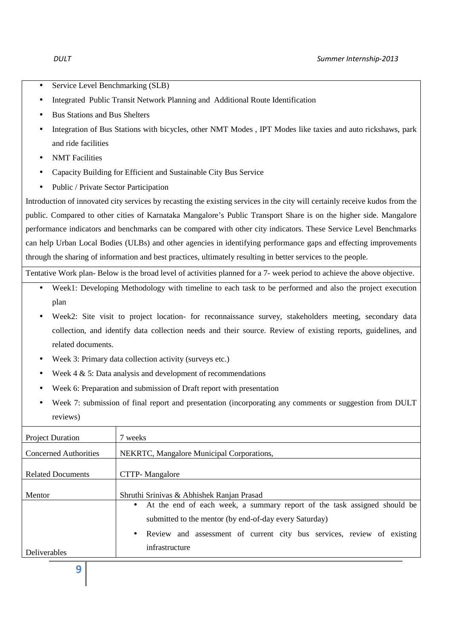- Service Level Benchmarking (SLB)
- Integrated Public Transit Network Planning and Additional Route Identification
- Bus Stations and Bus Shelters
- Integration of Bus Stations with bicycles, other NMT Modes , IPT Modes like taxies and auto rickshaws, park and ride facilities
- NMT Facilities
- Capacity Building for Efficient and Sustainable City Bus Service
- Public / Private Sector Participation

Introduction of innovated city services by recasting the existing services in the city will certainly receive kudos from the public. Compared to other cities of Karnataka Mangalore's Public Transport Share is on the higher side. Mangalore performance indicators and benchmarks can be compared with other city indicators. These Service Level Benchmarks can help Urban Local Bodies (ULBs) and other agencies in identifying performance gaps and effecting improvements through the sharing of information and best practices, ultimately resulting in better services to the people.

Tentative Work plan- Below is the broad level of activities planned for a 7- week period to achieve the above objective.

- Week1: Developing Methodology with timeline to each task to be performed and also the project execution plan
- Week2: Site visit to project location- for reconnaissance survey, stakeholders meeting, secondary data collection, and identify data collection needs and their source. Review of existing reports, guidelines, and related documents.
- Week 3: Primary data collection activity (surveys etc.)
- Week  $4 \& 5$ : Data analysis and development of recommendations
- Week 6: Preparation and submission of Draft report with presentation
- Week 7: submission of final report and presentation (incorporating any comments or suggestion from DULT reviews)

| <b>Project Duration</b>      | 7 weeks                                                                                                                              |  |
|------------------------------|--------------------------------------------------------------------------------------------------------------------------------------|--|
| <b>Concerned Authorities</b> | NEKRTC, Mangalore Municipal Corporations,                                                                                            |  |
| <b>Related Documents</b>     | CTTP- Mangalore                                                                                                                      |  |
| Mentor                       | Shruthi Srinivas & Abhishek Ranjan Prasad                                                                                            |  |
|                              | • At the end of each week, a summary report of the task assigned should be<br>submitted to the mentor (by end-of-day every Saturday) |  |
|                              | • Review and assessment of current city bus services, review of existing                                                             |  |
| Deliverables                 | infrastructure                                                                                                                       |  |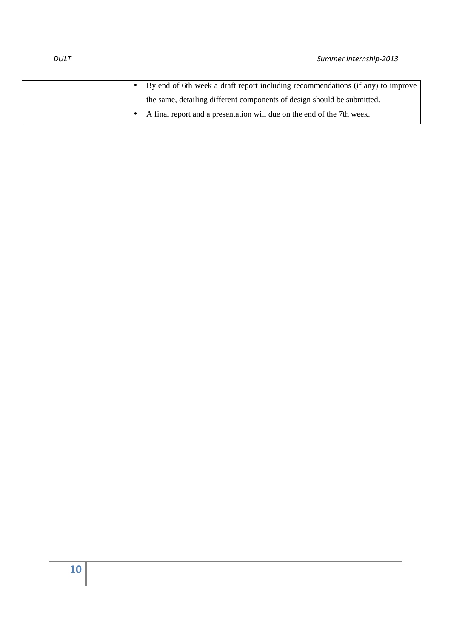|  | • By end of 6th week a draft report including recommendations (if any) to improve |
|--|-----------------------------------------------------------------------------------|
|  | the same, detailing different components of design should be submitted.           |
|  | • A final report and a presentation will due on the end of the 7th week.          |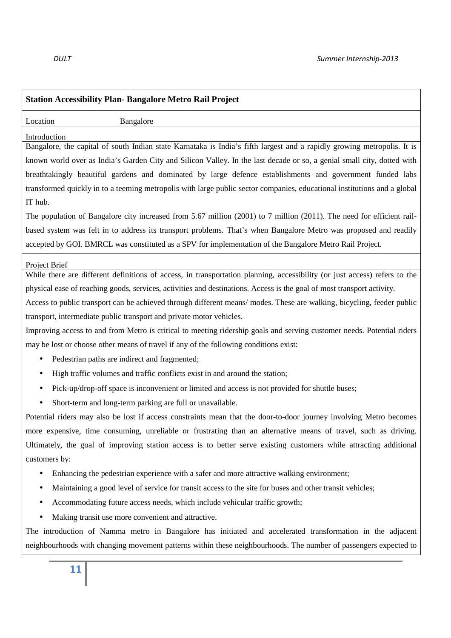| <b>Station Accessibility Plan- Bangalore Metro Rail Project</b>                                                                         |                                                                                                                           |  |
|-----------------------------------------------------------------------------------------------------------------------------------------|---------------------------------------------------------------------------------------------------------------------------|--|
| Bangalore<br>Location                                                                                                                   |                                                                                                                           |  |
| Introduction<br>Bangalore, the capital of south Indian state Karnataka is India's fifth largest and a rapidly growing metropolis. It is |                                                                                                                           |  |
| known world over as India's Garden City and Silicon Valley. In the last decade or so, a genial small city, dotted with                  |                                                                                                                           |  |
| breathtakingly beautiful gardens and dominated by large defence establishments and government funded labs                               |                                                                                                                           |  |
| transformed quickly in to a teeming metropolis with large public sector companies, educational institutions and a global                |                                                                                                                           |  |
| IT hub.                                                                                                                                 |                                                                                                                           |  |
| The population of Bangalore city increased from 5.67 million (2001) to 7 million (2011). The need for efficient rail-                   |                                                                                                                           |  |
| based system was felt in to address its transport problems. That's when Bangalore Metro was proposed and readily                        |                                                                                                                           |  |
| accepted by GOI. BMRCL was constituted as a SPV for implementation of the Bangalore Metro Rail Project.                                 |                                                                                                                           |  |
| Project Brief                                                                                                                           |                                                                                                                           |  |
|                                                                                                                                         | While there are different definitions of access, in transportation planning, accessibility (or just access) refers to the |  |
| physical ease of reaching goods, services, activities and destinations. Access is the goal of most transport activity.                  |                                                                                                                           |  |
| Access to public transport can be achieved through different means/ modes. These are walking, bicycling, feeder public                  |                                                                                                                           |  |
| transport, intermediate public transport and private motor vehicles.                                                                    |                                                                                                                           |  |
| Improving access to and from Metro is critical to meeting ridership goals and serving customer needs. Potential riders                  |                                                                                                                           |  |
| may be lost or choose other means of travel if any of the following conditions exist:                                                   |                                                                                                                           |  |
| Pedestrian paths are indirect and fragmented;<br>٠                                                                                      |                                                                                                                           |  |
| High traffic volumes and traffic conflicts exist in and around the station;<br>٠                                                        |                                                                                                                           |  |
| Pick-up/drop-off space is inconvenient or limited and access is not provided for shuttle buses;<br>$\bullet$                            |                                                                                                                           |  |
| Short-term and long-term parking are full or unavailable.                                                                               |                                                                                                                           |  |
| Potential riders may also be lost if access constraints mean that the door-to-door journey involving Metro becomes                      |                                                                                                                           |  |
| more expensive, time consuming, unreliable or frustrating than an alternative means of travel, such as driving.                         |                                                                                                                           |  |
| Ultimately, the goal of improving station access is to better serve existing customers while attracting additional                      |                                                                                                                           |  |
| customers by:                                                                                                                           |                                                                                                                           |  |
| Enhancing the pedestrian experience with a safer and more attractive walking environment;<br>٠                                          |                                                                                                                           |  |
| Maintaining a good level of service for transit access to the site for buses and other transit vehicles;<br>٠                           |                                                                                                                           |  |
| Accommodating future access needs, which include vehicular traffic growth;<br>٠                                                         |                                                                                                                           |  |
| Making transit use more convenient and attractive.                                                                                      |                                                                                                                           |  |
| The introduction of Namma metro in Bangalore has initiated and accelerated transformation in the adjacent                               |                                                                                                                           |  |
| neighbourhoods with changing movement patterns within these neighbourhoods. The number of passengers expected to                        |                                                                                                                           |  |
| 11                                                                                                                                      |                                                                                                                           |  |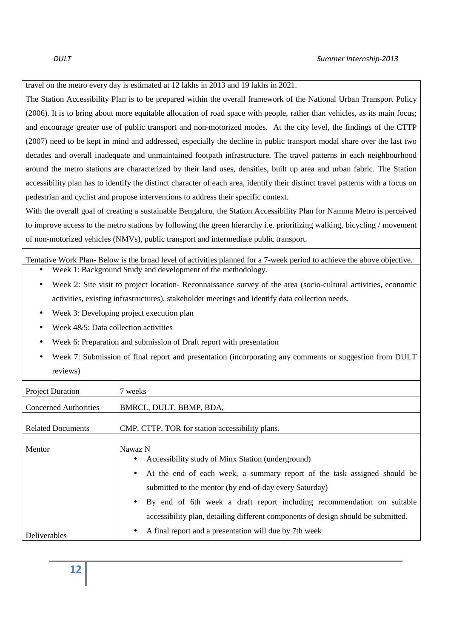travel on the metro every day is estimated at 12 lakhs in 2013 and 19 lakhs in 2021.

The Station Accessibility Plan is to be prepared within the overall framework of the National Urban Transport Policy (2006). It is to bring about more equitable allocation of road space with people, rather than vehicles, as its main focus; and encourage greater use of public transport and non-motorized modes. At the city level, the findings of the CTTP (2007) need to be kept in mind and addressed, especially the decline in public transport modal share over the last two decades and overall inadequate and unmaintained footpath infrastructure. The travel patterns in each neighbourhood around the metro stations are characterized by their land uses, densities, built up area and urban fabric. The Station accessibility plan has to identify the distinct character of each area, identify their distinct travel patterns with a focus on pedestrian and cyclist and propose interventions to address their specific context.

With the overall goal of creating a sustainable Bengaluru, the Station Accessibility Plan for Namma Metro is perceived to improve access to the metro stations by following the green hierarchy i.e. prioritizing walking, bicycling / movement of non-motorized vehicles (NMVs), public transport and intermediate public transport.

Tentative Work Plan- Below is the broad level of activities planned for a 7-week period to achieve the above objective.

- Week 1: Background Study and development of the methodology.
- Week 2: Site visit to project location- Reconnaissance survey of the area (socio-cultural activities, economic activities, existing infrastructures), stakeholder meetings and identify data collection needs.
- Week 3: Developing project execution plan
- Week 4&5: Data collection activities
- Week 6: Preparation and submission of Draft report with presentation
- Week 7: Submission of final report and presentation (incorporating any comments or suggestion from DULT reviews)

| <b>Project Duration</b>      | 7 weeks                                                                               |
|------------------------------|---------------------------------------------------------------------------------------|
| <b>Concerned Authorities</b> | BMRCL, DULT, BBMP, BDA,                                                               |
| <b>Related Documents</b>     | CMP, CTTP, TOR for station accessibility plans.                                       |
| Mentor                       | Nawaz N                                                                               |
|                              | Accessibility study of Minx Station (underground)<br>$\bullet$                        |
|                              | At the end of each week, a summary report of the task assigned should be<br>$\bullet$ |
|                              | submitted to the mentor (by end-of-day every Saturday)                                |
|                              | By end of 6th week a draft report including recommendation on suitable<br>$\bullet$   |
|                              | accessibility plan, detailing different components of design should be submitted.     |
| <b>Deliverables</b>          | A final report and a presentation will due by 7th week<br>٠                           |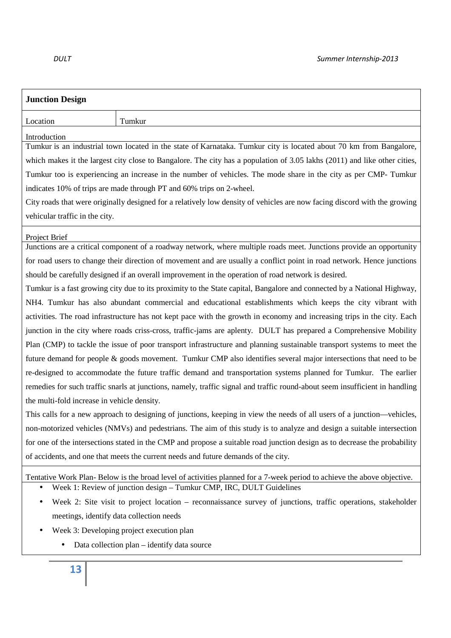| <b>Junction Design</b>                                                                                                      |                                                                                                                           |  |  |
|-----------------------------------------------------------------------------------------------------------------------------|---------------------------------------------------------------------------------------------------------------------------|--|--|
| Location                                                                                                                    | Tumkur                                                                                                                    |  |  |
| Introduction                                                                                                                |                                                                                                                           |  |  |
|                                                                                                                             | Tumkur is an industrial town located in the state of Karnataka. Tumkur city is located about 70 km from Bangalore,        |  |  |
|                                                                                                                             | which makes it the largest city close to Bangalore. The city has a population of 3.05 lakhs (2011) and like other cities, |  |  |
|                                                                                                                             | Tumkur too is experiencing an increase in the number of vehicles. The mode share in the city as per CMP- Tumkur           |  |  |
|                                                                                                                             | indicates 10% of trips are made through PT and 60% trips on 2-wheel.                                                      |  |  |
|                                                                                                                             | City roads that were originally designed for a relatively low density of vehicles are now facing discord with the growing |  |  |
| vehicular traffic in the city.                                                                                              |                                                                                                                           |  |  |
| Project Brief                                                                                                               |                                                                                                                           |  |  |
|                                                                                                                             | Junctions are a critical component of a roadway network, where multiple roads meet. Junctions provide an opportunity      |  |  |
| for road users to change their direction of movement and are usually a conflict point in road network. Hence junctions      |                                                                                                                           |  |  |
| should be carefully designed if an overall improvement in the operation of road network is desired.                         |                                                                                                                           |  |  |
|                                                                                                                             | Tumkur is a fast growing city due to its proximity to the State capital, Bangalore and connected by a National Highway,   |  |  |
| NH4. Tumkur has also abundant commercial and educational establishments which keeps the city vibrant with                   |                                                                                                                           |  |  |
| activities. The road infrastructure has not kept pace with the growth in economy and increasing trips in the city. Each     |                                                                                                                           |  |  |
| junction in the city where roads criss-cross, traffic-jams are aplenty. DULT has prepared a Comprehensive Mobility          |                                                                                                                           |  |  |
|                                                                                                                             | Plan (CMP) to tackle the issue of poor transport infrastructure and planning sustainable transport systems to meet the    |  |  |
|                                                                                                                             | future demand for people & goods movement. Tumkur CMP also identifies several major intersections that need to be         |  |  |
| re-designed to accommodate the future traffic demand and transportation systems planned for Tumkur. The earlier             |                                                                                                                           |  |  |
| remedies for such traffic snarls at junctions, namely, traffic signal and traffic round-about seem insufficient in handling |                                                                                                                           |  |  |
| the multi-fold increase in vehicle density.                                                                                 |                                                                                                                           |  |  |
| This calls for a new approach to designing of junctions, keeping in view the needs of all users of a junction—vehicles,     |                                                                                                                           |  |  |
| non-motorized vehicles (NMVs) and pedestrians. The aim of this study is to analyze and design a suitable intersection       |                                                                                                                           |  |  |
| for one of the intersections stated in the CMP and propose a suitable road junction design as to decrease the probability   |                                                                                                                           |  |  |
| of accidents, and one that meets the current needs and future demands of the city.                                          |                                                                                                                           |  |  |
|                                                                                                                             | Tentative Work Plan-Below is the broad level of activities planned for a 7-week period to achieve the above objective.    |  |  |
|                                                                                                                             | Week 1: Review of junction design - Tumkur CMP, IRC, DULT Guidelines                                                      |  |  |
|                                                                                                                             | Week 2: Site visit to project location – reconnaissance survey of junctions, traffic operations, stakeholder              |  |  |
|                                                                                                                             | meetings, identify data collection needs                                                                                  |  |  |
|                                                                                                                             | West 2. Developing mediate execution also                                                                                 |  |  |

- Week 3: Developing project execution plan
	- Data collection plan identify data source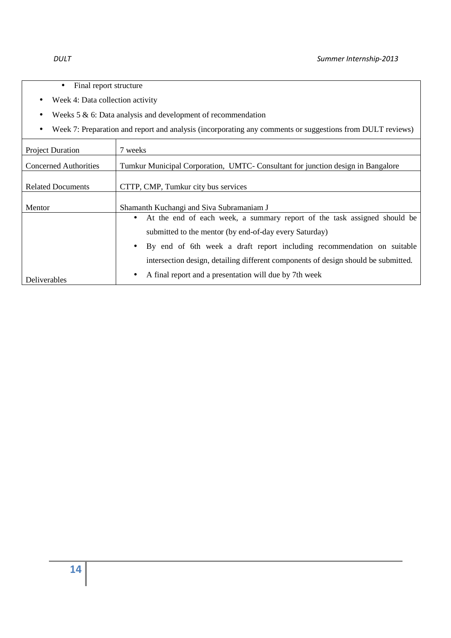- Final report structure
- Week 4: Data collection activity
- Weeks  $5 & 6$ : Data analysis and development of recommendation
- Week 7: Preparation and report and analysis (incorporating any comments or suggestions from DULT reviews)

| <b>Project Duration</b>      | 7 weeks                                                                            |
|------------------------------|------------------------------------------------------------------------------------|
| <b>Concerned Authorities</b> | Tumkur Municipal Corporation, UMTC- Consultant for junction design in Bangalore    |
| <b>Related Documents</b>     | CTTP, CMP, Tumkur city bus services                                                |
| Mentor                       | Shamanth Kuchangi and Siva Subramaniam J                                           |
|                              | • At the end of each week, a summary report of the task assigned should be         |
|                              | submitted to the mentor (by end-of-day every Saturday)                             |
|                              | • By end of 6th week a draft report including recommendation on suitable           |
|                              | intersection design, detailing different components of design should be submitted. |
| Deliverables                 | A final report and a presentation will due by 7th week<br>$\bullet$                |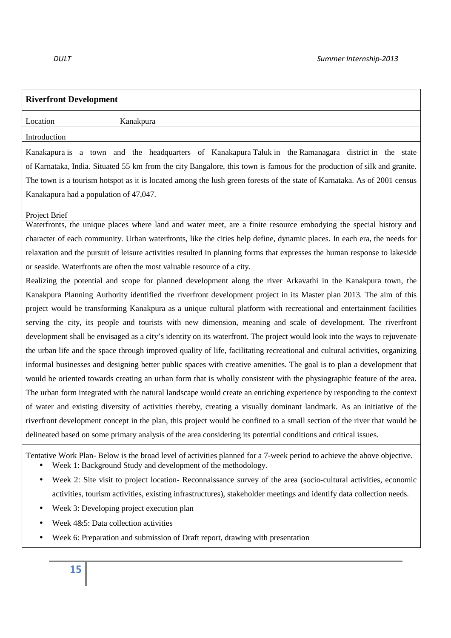## **Riverfront Development** Location **Kanakpura** Introduction Kanakapura is a town and the headquarters of Kanakapura Taluk in the Ramanagara district in the state of Karnataka, India. Situated 55 km from the city Bangalore, this town is famous for the production of silk and granite. The town is a tourism hotspot as it is located among the lush green forests of the state of Karnataka. As of 2001 census Kanakapura had a population of 47,047. Project Brief Waterfronts, the unique places where land and water meet, are a finite resource embodying the special history and character of each community. Urban waterfronts, like the cities help define, dynamic places. In each era, the needs for relaxation and the pursuit of leisure activities resulted in planning forms that expresses the human response to lakeside or seaside. Waterfronts are often the most valuable resource of a city. Realizing the potential and scope for planned development along the river Arkavathi in the Kanakpura town, the Kanakpura Planning Authority identified the riverfront development project in its Master plan 2013. The aim of this project would be transforming Kanakpura as a unique cultural platform with recreational and entertainment facilities serving the city, its people and tourists with new dimension, meaning and scale of development. The riverfront development shall be envisaged as a city's identity on its waterfront. The project would look into the ways to rejuvenate the urban life and the space through improved quality of life, facilitating recreational and cultural activities, organizing informal businesses and designing better public spaces with creative amenities. The goal is to plan a development that would be oriented towards creating an urban form that is wholly consistent with the physiographic feature of the area. The urban form integrated with the natural landscape would create an enriching experience by responding to the context of water and existing diversity of activities thereby, creating a visually dominant landmark. As an initiative of the riverfront development concept in the plan, this project would be confined to a small section of the river that would be delineated based on some primary analysis of the area considering its potential conditions and critical issues. Tentative Work Plan- Below is the broad level of activities planned for a 7-week period to achieve the above objective. Week 1: Background Study and development of the methodology. • Week 2: Site visit to project location- Reconnaissance survey of the area (socio-cultural activities, economic activities, tourism activities, existing infrastructures), stakeholder meetings and identify data collection needs. Week 3: Developing project execution plan Week 4&5: Data collection activities • Week 6: Preparation and submission of Draft report, drawing with presentation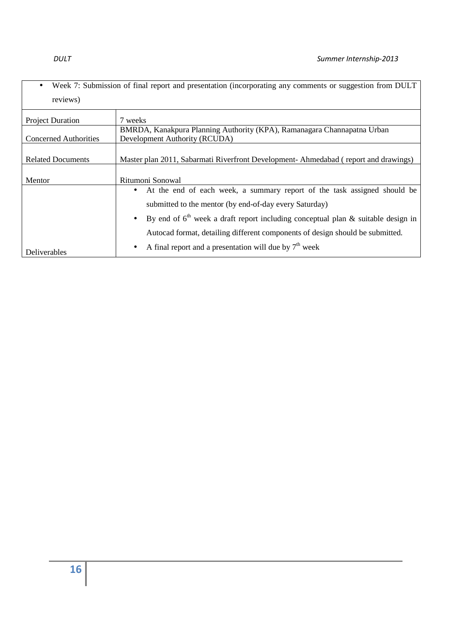• Week 7: Submission of final report and presentation (incorporating any comments or suggestion from DULT reviews)

| <b>Project Duration</b>      | 7 weeks                                                                               |
|------------------------------|---------------------------------------------------------------------------------------|
|                              | BMRDA, Kanakpura Planning Authority (KPA), Ramanagara Channapatna Urban               |
| <b>Concerned Authorities</b> | Development Authority (RCUDA)                                                         |
|                              |                                                                                       |
| <b>Related Documents</b>     | Master plan 2011, Sabarmati Riverfront Development-Ahmedabad (report and drawings)    |
|                              |                                                                                       |
| Mentor                       | Ritumoni Sonowal                                                                      |
|                              | At the end of each week, a summary report of the task assigned should be<br>$\bullet$ |
|                              | submitted to the mentor (by end-of-day every Saturday)                                |
|                              | • By end of $6th$ week a draft report including conceptual plan & suitable design in  |
|                              | Autocad format, detailing different components of design should be submitted.         |
| Deliverables                 | A final report and a presentation will due by $7th$ week<br>$\bullet$                 |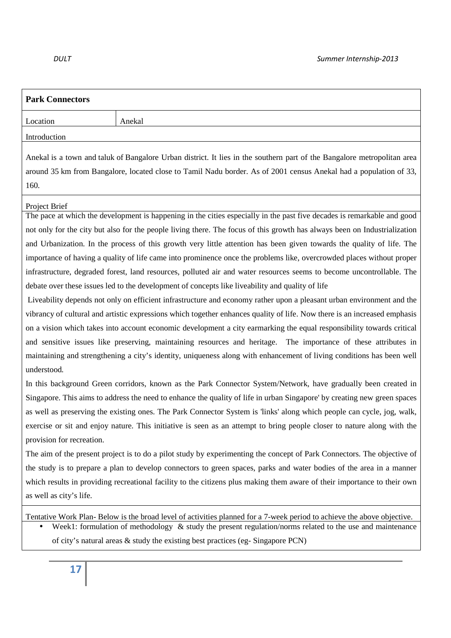| <b>Park Connectors</b>                                                                                                                                                                                                                                                                                                                                                                                                                                                                                                                                                                                                                                                                                                                                                                                                                                                                                                                                                                                                                                                                                                                                                                                                                                                                                                                                         |        |  |
|----------------------------------------------------------------------------------------------------------------------------------------------------------------------------------------------------------------------------------------------------------------------------------------------------------------------------------------------------------------------------------------------------------------------------------------------------------------------------------------------------------------------------------------------------------------------------------------------------------------------------------------------------------------------------------------------------------------------------------------------------------------------------------------------------------------------------------------------------------------------------------------------------------------------------------------------------------------------------------------------------------------------------------------------------------------------------------------------------------------------------------------------------------------------------------------------------------------------------------------------------------------------------------------------------------------------------------------------------------------|--------|--|
| Location                                                                                                                                                                                                                                                                                                                                                                                                                                                                                                                                                                                                                                                                                                                                                                                                                                                                                                                                                                                                                                                                                                                                                                                                                                                                                                                                                       | Anekal |  |
| Introduction                                                                                                                                                                                                                                                                                                                                                                                                                                                                                                                                                                                                                                                                                                                                                                                                                                                                                                                                                                                                                                                                                                                                                                                                                                                                                                                                                   |        |  |
| Anekal is a town and taluk of Bangalore Urban district. It lies in the southern part of the Bangalore metropolitan area<br>around 35 km from Bangalore, located close to Tamil Nadu border. As of 2001 census Anekal had a population of 33,<br>160.                                                                                                                                                                                                                                                                                                                                                                                                                                                                                                                                                                                                                                                                                                                                                                                                                                                                                                                                                                                                                                                                                                           |        |  |
| Project Brief                                                                                                                                                                                                                                                                                                                                                                                                                                                                                                                                                                                                                                                                                                                                                                                                                                                                                                                                                                                                                                                                                                                                                                                                                                                                                                                                                  |        |  |
| The pace at which the development is happening in the cities especially in the past five decades is remarkable and good<br>not only for the city but also for the people living there. The focus of this growth has always been on Industrialization<br>and Urbanization. In the process of this growth very little attention has been given towards the quality of life. The<br>importance of having a quality of life came into prominence once the problems like, overcrowded places without proper<br>infrastructure, degraded forest, land resources, polluted air and water resources seems to become uncontrollable. The<br>debate over these issues led to the development of concepts like liveability and quality of life<br>Liveability depends not only on efficient infrastructure and economy rather upon a pleasant urban environment and the<br>vibrancy of cultural and artistic expressions which together enhances quality of life. Now there is an increased emphasis<br>on a vision which takes into account economic development a city earmarking the equal responsibility towards critical<br>and sensitive issues like preserving, maintaining resources and heritage. The importance of these attributes in<br>maintaining and strengthening a city's identity, uniqueness along with enhancement of living conditions has been well |        |  |
| understood.                                                                                                                                                                                                                                                                                                                                                                                                                                                                                                                                                                                                                                                                                                                                                                                                                                                                                                                                                                                                                                                                                                                                                                                                                                                                                                                                                    |        |  |
| In this background Green corridors, known as the Park Connector System/Network, have gradually been created in<br>Singapore. This aims to address the need to enhance the quality of life in urban Singapore' by creating new green spaces<br>as well as preserving the existing ones. The Park Connector System is 'links' along which people can cycle, jog, walk,<br>exercise or sit and enjoy nature. This initiative is seen as an attempt to bring people closer to nature along with the<br>provision for recreation.<br>The aim of the present project is to do a pilot study by experimenting the concept of Park Connectors. The objective of<br>the study is to prepare a plan to develop connectors to green spaces, parks and water bodies of the area in a manner<br>which results in providing recreational facility to the citizens plus making them aware of their importance to their own<br>as well as city's life.                                                                                                                                                                                                                                                                                                                                                                                                                         |        |  |
| Tentative Work Plan-Below is the broad level of activities planned for a 7-week period to achieve the above objective.<br>Week1: formulation of methodology $\&$ study the present regulation/norms related to the use and maintenance<br>of city's natural areas $\&$ study the existing best practices (eg-Singapore PCN)                                                                                                                                                                                                                                                                                                                                                                                                                                                                                                                                                                                                                                                                                                                                                                                                                                                                                                                                                                                                                                    |        |  |